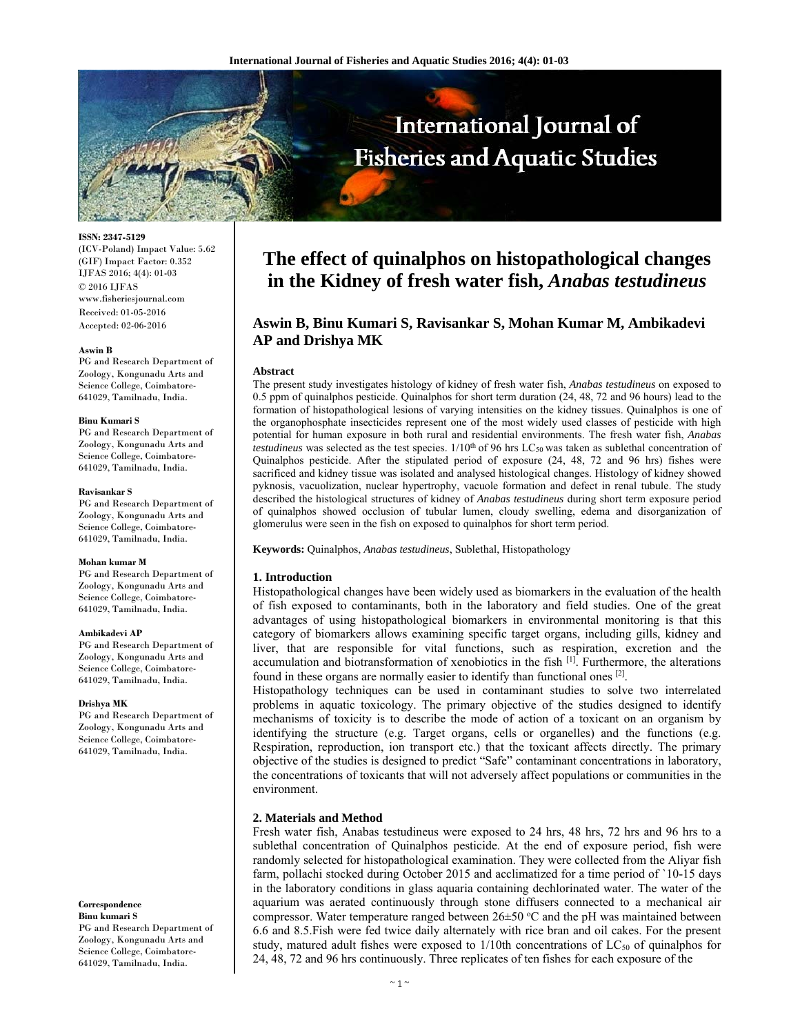

**ISSN: 2347-5129**  (ICV-Poland) Impact Value: 5.62 (GIF) Impact Factor: 0.352 IJFAS 2016; 4(4): 01-03 © 2016 IJFAS www.fisheriesjournal.com Received: 01-05-2016 Accepted: 02-06-2016

#### **Aswin B**

PG and Research Department of Zoology, Kongunadu Arts and Science College, Coimbatore-641029, Tamilnadu, India.

#### **Binu Kumari S**

PG and Research Department of Zoology, Kongunadu Arts and Science College, Coimbatore-641029, Tamilnadu, India.

#### **Ravisankar S**

PG and Research Department of Zoology, Kongunadu Arts and Science College, Coimbatore-641029, Tamilnadu, India.

#### **Mohan kumar M**

PG and Research Department of Zoology, Kongunadu Arts and Science College, Coimbatore-641029, Tamilnadu, India.

#### **Ambikadevi AP**

PG and Research Department of Zoology, Kongunadu Arts and Science College, Coimbatore-641029, Tamilnadu, India.

#### **Drishya MK**

PG and Research Department of Zoology, Kongunadu Arts and Science College, Coimbatore-641029, Tamilnadu, India.

**Correspondence Binu kumari S** 

PG and Research Department of Zoology, Kongunadu Arts and Science College, Coimbatore-641029, Tamilnadu, India.

# **The effect of quinalphos on histopathological changes in the Kidney of fresh water fish,** *Anabas testudineus*

# **Aswin B, Binu Kumari S, Ravisankar S, Mohan Kumar M, Ambikadevi AP and Drishya MK**

#### **Abstract**

The present study investigates histology of kidney of fresh water fish, *Anabas testudineus* on exposed to 0.5 ppm of quinalphos pesticide. Quinalphos for short term duration (24, 48, 72 and 96 hours) lead to the formation of histopathological lesions of varying intensities on the kidney tissues. Quinalphos is one of the organophosphate insecticides represent one of the most widely used classes of pesticide with high potential for human exposure in both rural and residential environments. The fresh water fish, *Anabas testudineus* was selected as the test species.  $1/10<sup>th</sup>$  of 96 hrs LC<sub>50</sub> was taken as sublethal concentration of Quinalphos pesticide. After the stipulated period of exposure (24, 48, 72 and 96 hrs) fishes were sacrificed and kidney tissue was isolated and analysed histological changes. Histology of kidney showed pyknosis, vacuolization, nuclear hypertrophy, vacuole formation and defect in renal tubule. The study described the histological structures of kidney of *Anabas testudineus* during short term exposure period of quinalphos showed occlusion of tubular lumen, cloudy swelling, edema and disorganization of glomerulus were seen in the fish on exposed to quinalphos for short term period.

**Keywords:** Quinalphos, *Anabas testudineus*, Sublethal, Histopathology

# **1. Introduction**

Histopathological changes have been widely used as biomarkers in the evaluation of the health of fish exposed to contaminants, both in the laboratory and field studies. One of the great advantages of using histopathological biomarkers in environmental monitoring is that this category of biomarkers allows examining specific target organs, including gills, kidney and liver, that are responsible for vital functions, such as respiration, excretion and the accumulation and biotransformation of xenobiotics in the fish [1]. Furthermore, the alterations found in these organs are normally easier to identify than functional ones [2].

Histopathology techniques can be used in contaminant studies to solve two interrelated problems in aquatic toxicology. The primary objective of the studies designed to identify mechanisms of toxicity is to describe the mode of action of a toxicant on an organism by identifying the structure (e.g. Target organs, cells or organelles) and the functions (e.g. Respiration, reproduction, ion transport etc.) that the toxicant affects directly. The primary objective of the studies is designed to predict "Safe" contaminant concentrations in laboratory, the concentrations of toxicants that will not adversely affect populations or communities in the environment.

## **2. Materials and Method**

Fresh water fish, Anabas testudineus were exposed to 24 hrs, 48 hrs, 72 hrs and 96 hrs to a sublethal concentration of Quinalphos pesticide. At the end of exposure period, fish were randomly selected for histopathological examination. They were collected from the Aliyar fish farm, pollachi stocked during October 2015 and acclimatized for a time period of `10-15 days in the laboratory conditions in glass aquaria containing dechlorinated water. The water of the aquarium was aerated continuously through stone diffusers connected to a mechanical air compressor. Water temperature ranged between  $26 \pm 50$  °C and the pH was maintained between 6.6 and 8.5.Fish were fed twice daily alternately with rice bran and oil cakes. For the present study, matured adult fishes were exposed to  $1/10$ th concentrations of  $LC_{50}$  of quinalphos for 24, 48, 72 and 96 hrs continuously. Three replicates of ten fishes for each exposure of the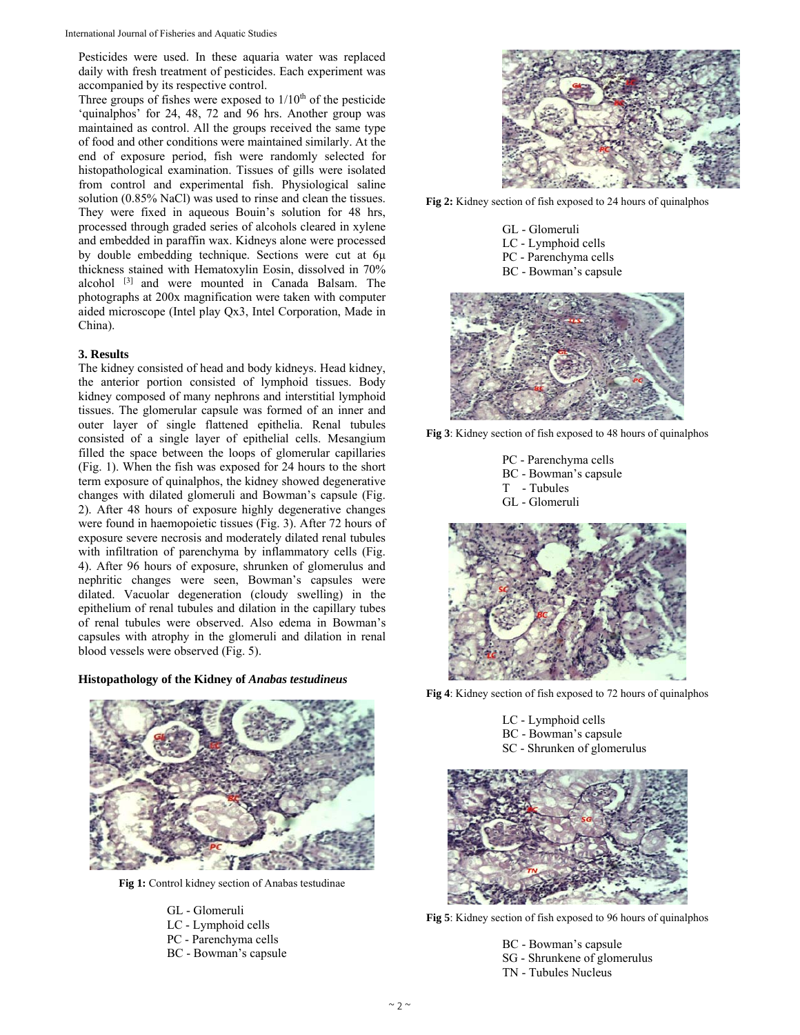Pesticides were used. In these aquaria water was replaced daily with fresh treatment of pesticides. Each experiment was accompanied by its respective control.

Three groups of fishes were exposed to  $1/10<sup>th</sup>$  of the pesticide 'quinalphos' for 24, 48, 72 and 96 hrs. Another group was maintained as control. All the groups received the same type of food and other conditions were maintained similarly. At the end of exposure period, fish were randomly selected for histopathological examination. Tissues of gills were isolated from control and experimental fish. Physiological saline solution (0.85% NaCl) was used to rinse and clean the tissues. They were fixed in aqueous Bouin's solution for 48 hrs, processed through graded series of alcohols cleared in xylene and embedded in paraffin wax. Kidneys alone were processed by double embedding technique. Sections were cut at 6μ thickness stained with Hematoxylin Eosin, dissolved in 70% alcohol [3] and were mounted in Canada Balsam. The photographs at 200x magnification were taken with computer aided microscope (Intel play Qx3, Intel Corporation, Made in China).

# **3. Results**

The kidney consisted of head and body kidneys. Head kidney, the anterior portion consisted of lymphoid tissues. Body kidney composed of many nephrons and interstitial lymphoid tissues. The glomerular capsule was formed of an inner and outer layer of single flattened epithelia. Renal tubules consisted of a single layer of epithelial cells. Mesangium filled the space between the loops of glomerular capillaries (Fig. 1). When the fish was exposed for 24 hours to the short term exposure of quinalphos, the kidney showed degenerative changes with dilated glomeruli and Bowman's capsule (Fig. 2). After 48 hours of exposure highly degenerative changes were found in haemopoietic tissues (Fig. 3). After 72 hours of exposure severe necrosis and moderately dilated renal tubules with infiltration of parenchyma by inflammatory cells (Fig. 4). After 96 hours of exposure, shrunken of glomerulus and nephritic changes were seen, Bowman's capsules were dilated. Vacuolar degeneration (cloudy swelling) in the epithelium of renal tubules and dilation in the capillary tubes of renal tubules were observed. Also edema in Bowman's capsules with atrophy in the glomeruli and dilation in renal blood vessels were observed (Fig. 5).

## **Histopathology of the Kidney of** *Anabas testudineus*



**Fig 1:** Control kidney section of Anabas testudinae

GL - Glomeruli LC - Lymphoid cells PC - Parenchyma cells BC - Bowman's capsule



**Fig 2:** Kidney section of fish exposed to 24 hours of quinalphos

- GL Glomeruli
- LC Lymphoid cells
- PC Parenchyma cells
- BC Bowman's capsule



**Fig 3**: Kidney section of fish exposed to 48 hours of quinalphos

PC - Parenchyma cells BC - Bowman's capsule T - Tubules GL - Glomeruli



**Fig 4**: Kidney section of fish exposed to 72 hours of quinalphos

- LC Lymphoid cells
- BC Bowman's capsule
- SC Shrunken of glomerulus



**Fig 5**: Kidney section of fish exposed to 96 hours of quinalphos

- BC Bowman's capsule SG - Shrunkene of glomerulus
- TN Tubules Nucleus